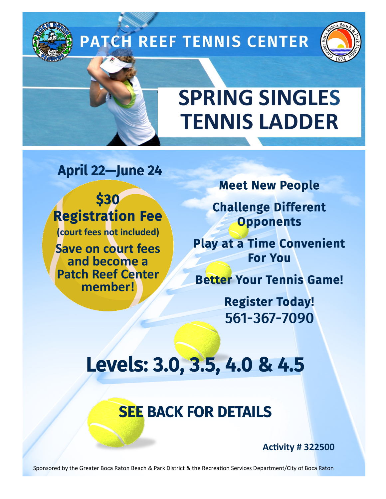# **PATCH REEF TENNIS CENTER**



# **SPRING SINGLES TENNIS LADDER**

April 22—June 24

\$30 Registration Fee **(court fees not included)**

**Save on court fees and become a Patch Reef Center member!** 

Meet New People

Challenge Different **Opponents** 

Play at a Time Convenient For You

Better Your Tennis Game!

Register Today! 561-367-7090

## Levels: 3.0, 3.5, 4.0 & 4.5

## SEE BACK FOR DETAILS

**Activity # 322500**

Sponsored by the Greater Boca Raton Beach & Park District & the Recreation Services Department/City of Boca Raton